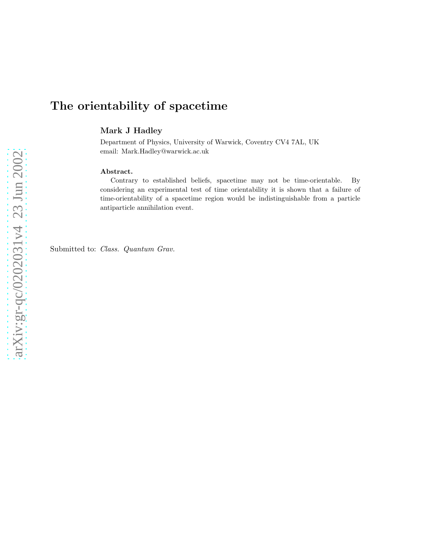# The orientability of spacetime

Mark J Hadley

Department of Physics, University of Warwick, Coventry CV4 7AL, UK email: Mark.Hadley@warwick.ac.uk

#### Abstract.

Contrary to established beliefs, spacetime may not be time-orientable. By considering an experimental test of time orientability it is shown that a failure of time-orientability of a spacetime region would be indistinguishable from a particle antiparticle annihilation event.

Submitted to: *Class. Quantum Grav.*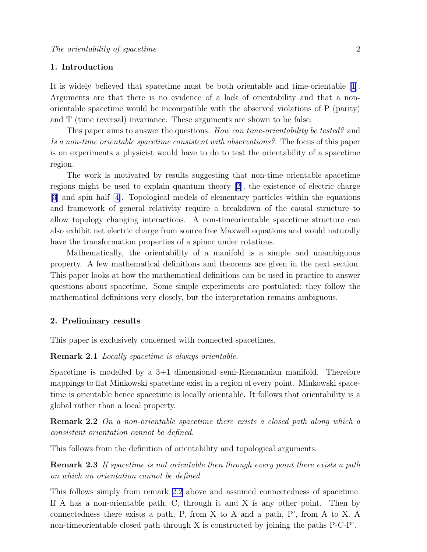### 1. Introduction

It is widely believed that spacetime must be both orientable and time-orientable [\[1](#page-5-0)]. Arguments are that there is no evidence of a lack of orientability and that a nonorientable spacetime would be incompatible with the observed violations of P (parity) and T (time reversal) invariance. These arguments are shown to be false.

This paper aims to answer the questions: *How can time-orientability be tested?* and Is a non-time orientable spacetime consistent with observations?. The focus of this paper is on experiments a physicist would have to do to test the orientability of a spacetime region.

The work is motivated by results suggesting that non-time orientable spacetime regions might be used to explain quantum theory [\[2](#page-5-0)], the existence of electric charge [\[3](#page-5-0)] and spin half [\[4\]](#page-5-0). Topological models of elementary particles within the equations and framework of general relativity require a breakdown of the causal structure to allow topology changing interactions. A non-timeorientable spacetime structure can also exhibit net electric charge from source free Maxwell equations and would naturally have the transformation properties of a spinor under rotations.

Mathematically, the orientability of a manifold is a simple and unambiguous property. A few mathematical definitions and theorems are given in the next section. This paper looks at how the mathematical definitions can be used in practice to answer questions about spacetime. Some simple experiments are postulated; they follow the mathematical definitions very closely, but the interpretation remains ambiguous.

#### 2. Preliminary results

This paper is exclusively concerned with connected spacetimes.

**Remark 2.1** Locally spacetime is always orientable.

Spacetime is modelled by a  $3+1$  dimensional semi-Riemannian manifold. Therefore mappings to flat Minkowski spacetime exist in a region of every point. Minkowski spacetime is orientable hence spacetime is locally orientable. It follows that orientability is a global rather than a local property.

Remark 2.2 On a non-orientable spacetime there exists a closed path along which a consistent orientation cannot be defined.

This follows from the definition of orientability and topological arguments.

**Remark 2.3** If spacetime is not orientable then through every point there exists a path on which an orientation cannot be defined.

This follows simply from remark 2.2 above and assumed connectedness of spacetime. If A has a non-orientable path, C, through it and X is any other point. Then by connectedness there exists a path, P, from X to A and a path, P', from A to X. A non-timeorientable closed path through X is constructed by joining the paths P-C-P'.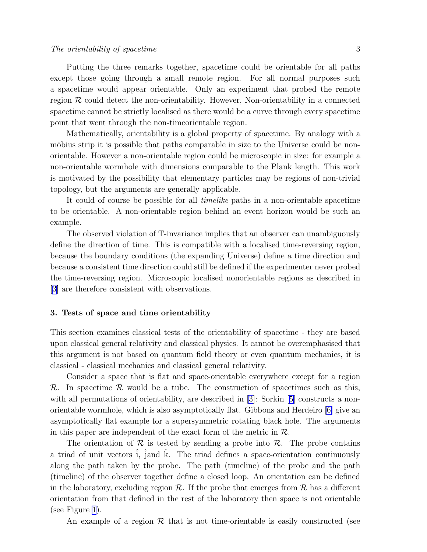Putting the three remarks together, spacetime could be orientable for all paths except those going through a small remote region. For all normal purposes such a spacetime would appear orientable. Only an experiment that probed the remote region  $\mathcal R$  could detect the non-orientability. However, Non-orientability in a connected spacetime cannot be strictly localised as there would be a curve through every spacetime point that went through the non-timeorientable region.

Mathematically, orientability is a global property of spacetime. By analogy with a möbius strip it is possible that paths comparable in size to the Universe could be nonorientable. However a non-orientable region could be microscopic in size: for example a non-orientable wormhole with dimensions comparable to the Plank length. This work is motivated by the possibility that elementary particles may be regions of non-trivial topology, but the arguments are generally applicable.

It could of course be possible for all timelike paths in a non-orientable spacetime to be orientable. A non-orientable region behind an event horizon would be such an example.

The observed violation of T-invariance implies that an observer can unambiguously define the direction of time. This is compatible with a localised time-reversing region, because the boundary conditions (the expanding Universe) define a time direction and because a consistent time direction could still be defined if the experimenter never probed the time-reversing region. Microscopic localised nonorientable regions as described in [\[3](#page-5-0)] are therefore consistent with observations.

### 3. Tests of space and time orientability

This section examines classical tests of the orientability of spacetime - they are based upon classical general relativity and classical physics. It cannot be overemphasised that this argument is not based on quantum field theory or even quantum mechanics, it is classical - classical mechanics and classical general relativity.

Consider a space that is flat and space-orientable everywhere except for a region  $\mathcal{R}$ . In spacetime  $\mathcal{R}$  would be a tube. The construction of spacetimes such as this, withall permutations of orientability, are described in [[3\]](#page-5-0): Sorkin [[5\]](#page-5-0) constructs a nonorientable wormhole, which is also asymptotically flat. Gibbons and Herdeiro[[6\]](#page-5-0) give an asymptotically flat example for a supersymmetric rotating black hole. The arguments in this paper are independent of the exact form of the metric in  $\mathcal{R}$ .

The orientation of  $\mathcal R$  is tested by sending a probe into  $\mathcal R$ . The probe contains a triad of unit vectors i, jand k. The triad defines a space-orientation continuously along the path taken by the probe. The path (timeline) of the probe and the path (timeline) of the observer together define a closed loop. An orientation can be defined in the laboratory, excluding region  $\mathcal{R}$ . If the probe that emerges from  $\mathcal{R}$  has a different orientation from that defined in the rest of the laboratory then space is not orientable (see Figure [1](#page-6-0)).

An example of a region  $\mathcal R$  that is not time-orientable is easily constructed (see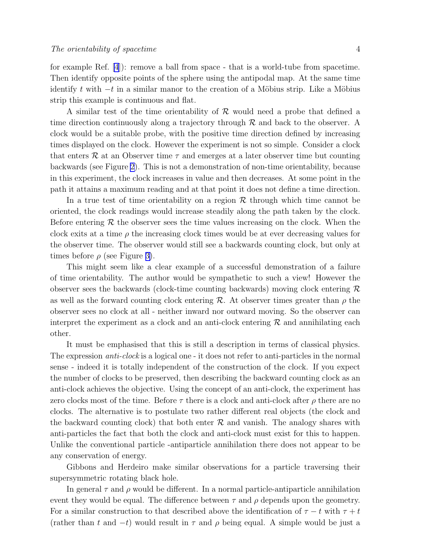for example Ref. [\[4](#page-5-0)]): remove a ball from space - that is a world-tube from spacetime. Then identify opposite points of the sphere using the antipodal map. At the same time identify t with  $-t$  in a similar manor to the creation of a Möbius strip. Like a Möbius strip this example is continuous and flat.

A similar test of the time orientability of  $\mathcal R$  would need a probe that defined a time direction continuously along a trajectory through  $R$  and back to the observer. A clock would be a suitable probe, with the positive time direction defined by increasing times displayed on the clock. However the experiment is not so simple. Consider a clock that enters  $\mathcal R$  at an Observer time  $\tau$  and emerges at a later observer time but counting backwards (see Figure [2\)](#page-7-0). This is not a demonstration of non-time orientability, because in this experiment, the clock increases in value and then decreases. At some point in the path it attains a maximum reading and at that point it does not define a time direction.

In a true test of time orientability on a region  $R$  through which time cannot be oriented, the clock readings would increase steadily along the path taken by the clock. Before entering  $R$  the observer sees the time values increasing on the clock. When the clock exits at a time  $\rho$  the increasing clock times would be at ever decreasing values for the observer time. The observer would still see a backwards counting clock, but only at times before  $\rho$  (see Figure [3\)](#page-8-0).

This might seem like a clear example of a successful demonstration of a failure of time orientability. The author would be sympathetic to such a view! However the observer sees the backwards (clock-time counting backwards) moving clock entering  $\mathcal R$ as well as the forward counting clock entering R. At observer times greater than  $\rho$  the observer sees no clock at all - neither inward nor outward moving. So the observer can interpret the experiment as a clock and an anti-clock entering  $R$  and annihilating each other.

It must be emphasised that this is still a description in terms of classical physics. The expression *anti-clock* is a logical one - it does not refer to anti-particles in the normal sense - indeed it is totally independent of the construction of the clock. If you expect the number of clocks to be preserved, then describing the backward counting clock as an anti-clock achieves the objective. Using the concept of an anti-clock, the experiment has zero clocks most of the time. Before  $\tau$  there is a clock and anti-clock after  $\rho$  there are no clocks. The alternative is to postulate two rather different real objects (the clock and the backward counting clock) that both enter  $R$  and vanish. The analogy shares with anti-particles the fact that both the clock and anti-clock must exist for this to happen. Unlike the conventional particle -antiparticle annihilation there does not appear to be any conservation of energy.

Gibbons and Herdeiro make similar observations for a particle traversing their supersymmetric rotating black hole.

In general  $\tau$  and  $\rho$  would be different. In a normal particle-antiparticle annihilation event they would be equal. The difference between  $\tau$  and  $\rho$  depends upon the geometry. For a similar construction to that described above the identification of  $\tau - t$  with  $\tau + t$ (rather than t and  $-t$ ) would result in  $\tau$  and  $\rho$  being equal. A simple would be just a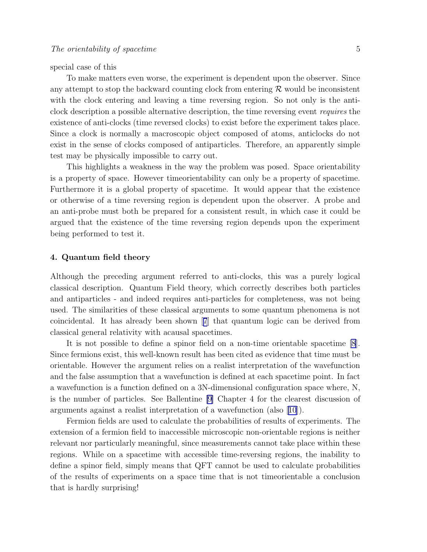special case of this

To make matters even worse, the experiment is dependent upon the observer. Since any attempt to stop the backward counting clock from entering  $\mathcal R$  would be inconsistent with the clock entering and leaving a time reversing region. So not only is the anticlock description a possible alternative description, the time reversing event requires the existence of anti-clocks (time reversed clocks) to exist before the experiment takes place. Since a clock is normally a macroscopic object composed of atoms, anticlocks do not exist in the sense of clocks composed of antiparticles. Therefore, an apparently simple test may be physically impossible to carry out.

This highlights a weakness in the way the problem was posed. Space orientability is a property of space. However timeorientability can only be a property of spacetime. Furthermore it is a global property of spacetime. It would appear that the existence or otherwise of a time reversing region is dependent upon the observer. A probe and an anti-probe must both be prepared for a consistent result, in which case it could be argued that the existence of the time reversing region depends upon the experiment being performed to test it.

### 4. Quantum field theory

Although the preceding argument referred to anti-clocks, this was a purely logical classical description. Quantum Field theory, which correctly describes both particles and antiparticles - and indeed requires anti-particles for completeness, was not being used. The similarities of these classical arguments to some quantum phenomena is not coincidental. It has already been shown[[7](#page-5-0)] that quantum logic can be derived from classical general relativity with acausal spacetimes.

It is not possible to define a spinor field on a non-time orientable spacetime [\[8](#page-5-0)]. Since fermions exist, this well-known result has been cited as evidence that time must be orientable. However the argument relies on a realist interpretation of the wavefunction and the false assumption that a wavefunction is defined at each spacetime point. In fact a wavefunction is a function defined on a 3N-dimensional configuration space where, N, is the number of particles. See Ballentine [\[9\]](#page-5-0) Chapter 4 for the clearest discussion of arguments against a realist interpretation of a wavefunction (also [[10](#page-5-0)]).

Fermion fields are used to calculate the probabilities of results of experiments. The extension of a fermion field to inaccessible microscopic non-orientable regions is neither relevant nor particularly meaningful, since measurements cannot take place within these regions. While on a spacetime with accessible time-reversing regions, the inability to define a spinor field, simply means that QFT cannot be used to calculate probabilities of the results of experiments on a space time that is not timeorientable a conclusion that is hardly surprising!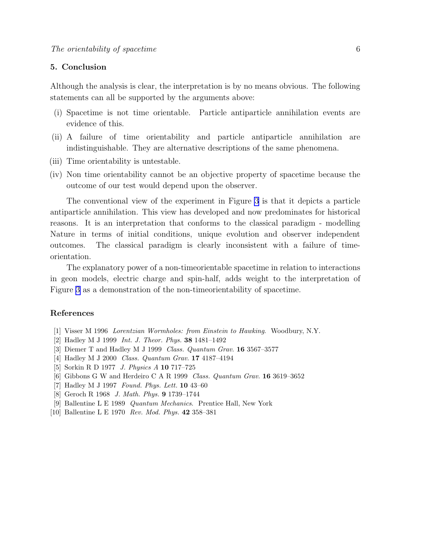## <span id="page-5-0"></span>5. Conclusion

Although the analysis is clear, the interpretation is by no means obvious. The following statements can all be supported by the arguments above:

- (i) Spacetime is not time orientable. Particle antiparticle annihilation events are evidence of this.
- (ii) A failure of time orientability and particle antiparticle annihilation are indistinguishable. They are alternative descriptions of the same phenomena.
- (iii) Time orientability is untestable.
- (iv) Non time orientability cannot be an objective property of spacetime because the outcome of our test would depend upon the observer.

The conventional view of the experiment in Figure [3](#page-8-0) is that it depicts a particle antiparticle annihilation. This view has developed and now predominates for historical reasons. It is an interpretation that conforms to the classical paradigm - modelling Nature in terms of initial conditions, unique evolution and observer independent outcomes. The classical paradigm is clearly inconsistent with a failure of timeorientation.

The explanatory power of a non-timeorientable spacetime in relation to interactions in geon models, electric charge and spin-half, adds weight to the interpretation of Figure [3](#page-8-0) as a demonstration of the non-timeorientability of spacetime.

#### References

- [1] Visser M 1996 *Lorentzian Wormholes: from Einstein to Hawking*. Woodbury, N.Y.
- [2] Hadley M J 1999 *Int. J. Theor. Phys.* 38 1481–1492
- [3] Diemer T and Hadley M J 1999 *Class. Quantum Grav.* 16 3567–3577
- [4] Hadley M J 2000 *Class. Quantum Grav.* 17 4187–4194
- [5] Sorkin R D 1977 *J. Physics A* 10 717–725
- [6] Gibbons G W and Herdeiro C A R 1999 *Class. Quantum Grav.* 16 3619–3652
- [7] Hadley M J 1997 *Found. Phys. Lett.* 10 43–60
- [8] Geroch R 1968 *J. Math. Phys.* 9 1739–1744
- [9] Ballentine L E 1989 *Quantum Mechanics*. Prentice Hall, New York
- [10] Ballentine L E 1970 *Rev. Mod. Phys.* 42 358–381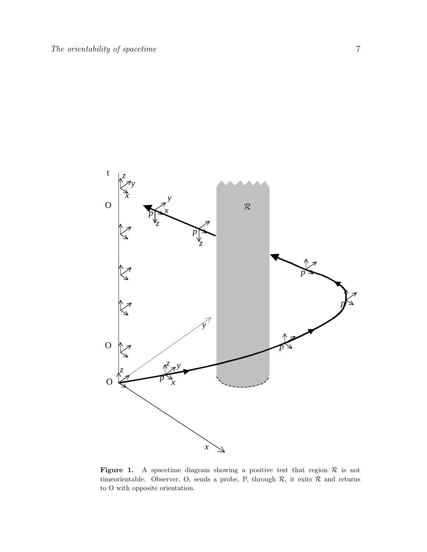<span id="page-6-0"></span>

Figure 1. A spacetime diagram showing a positive test that region  $\mathcal R$  is not timeorientable. Observer, O, sends a probe, P, through  $\mathcal{R}$ , it exits  $\mathcal R$  and returns to O with opposite orientation.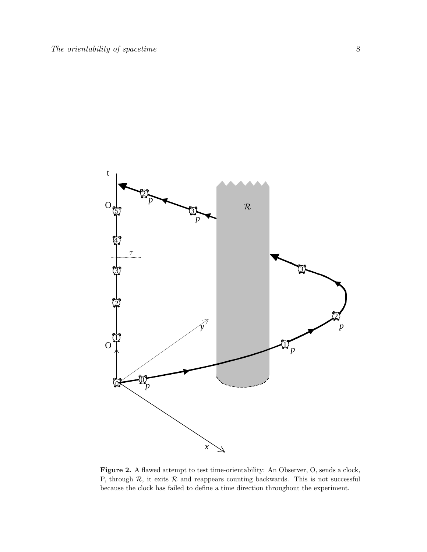<span id="page-7-0"></span>

Figure 2. A flawed attempt to test time-orientability: An Observer, O, sends a clock, P, through  $R$ , it exits  $R$  and reappears counting backwards. This is not successful because the clock has failed to define a time direction throughout the experiment.